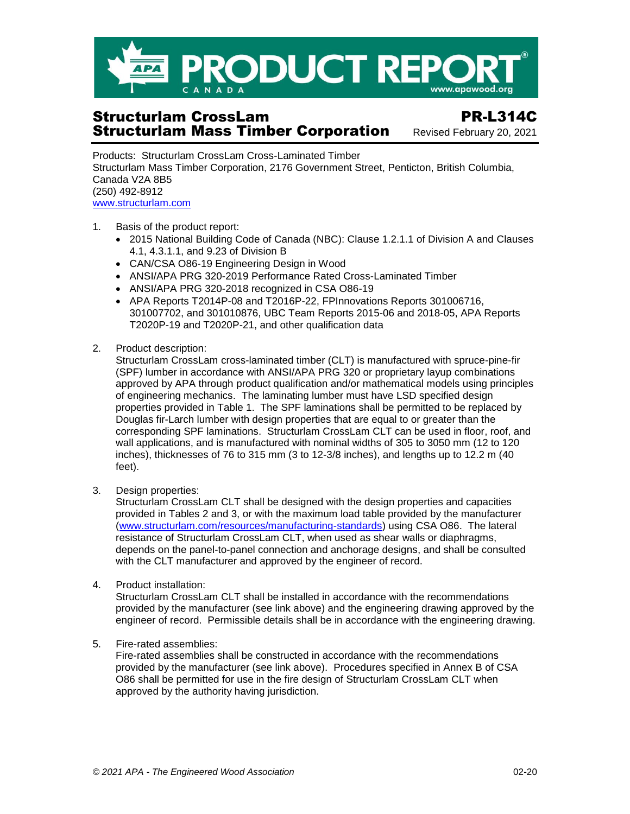

## Structurlam CrossLam PR-L314C **Structurlam Mass Timber Corporation** Revised February 20, 2021

Products: Structurlam CrossLam Cross-Laminated Timber Structurlam Mass Timber Corporation, 2176 Government Street, Penticton, British Columbia, Canada V2A 8B5 (250) 492-8912 [www.structurlam.com](http://www.structurlam.com/)

- 1. Basis of the product report:
	- 2015 National Building Code of Canada (NBC): Clause 1.2.1.1 of Division A and Clauses 4.1, 4.3.1.1, and 9.23 of Division B
	- CAN/CSA O86-19 Engineering Design in Wood
	- ANSI/APA PRG 320-2019 Performance Rated Cross-Laminated Timber
	- ANSI/APA PRG 320-2018 recognized in CSA O86-19
	- APA Reports T2014P-08 and T2016P-22, FPInnovations Reports 301006716, 301007702, and 301010876, UBC Team Reports 2015-06 and 2018-05, APA Reports T2020P-19 and T2020P-21, and other qualification data
- 2. Product description:

Structurlam CrossLam cross-laminated timber (CLT) is manufactured with spruce-pine-fir (SPF) lumber in accordance with ANSI/APA PRG 320 or proprietary layup combinations approved by APA through product qualification and/or mathematical models using principles of engineering mechanics. The laminating lumber must have LSD specified design properties provided in Table 1. The SPF laminations shall be permitted to be replaced by Douglas fir-Larch lumber with design properties that are equal to or greater than the corresponding SPF laminations. Structurlam CrossLam CLT can be used in floor, roof, and wall applications, and is manufactured with nominal widths of 305 to 3050 mm (12 to 120 inches), thicknesses of 76 to 315 mm (3 to 12-3/8 inches), and lengths up to 12.2 m (40 feet).

3. Design properties:

Structurlam CrossLam CLT shall be designed with the design properties and capacities provided in Tables 2 and 3, or with the maximum load table provided by the manufacturer [\(www.structurlam.com/resources/manufacturing-standards\)](https://www.structurlam.com/resources/manufacturing-standards/) using CSA O86. The lateral resistance of Structurlam CrossLam CLT, when used as shear walls or diaphragms, depends on the panel-to-panel connection and anchorage designs, and shall be consulted with the CLT manufacturer and approved by the engineer of record.

4. Product installation:

Structurlam CrossLam CLT shall be installed in accordance with the recommendations provided by the manufacturer (see link above) and the engineering drawing approved by the engineer of record. Permissible details shall be in accordance with the engineering drawing.

5. Fire-rated assemblies:

Fire-rated assemblies shall be constructed in accordance with the recommendations provided by the manufacturer (see link above). Procedures specified in Annex B of CSA O86 shall be permitted for use in the fire design of Structurlam CrossLam CLT when approved by the authority having jurisdiction.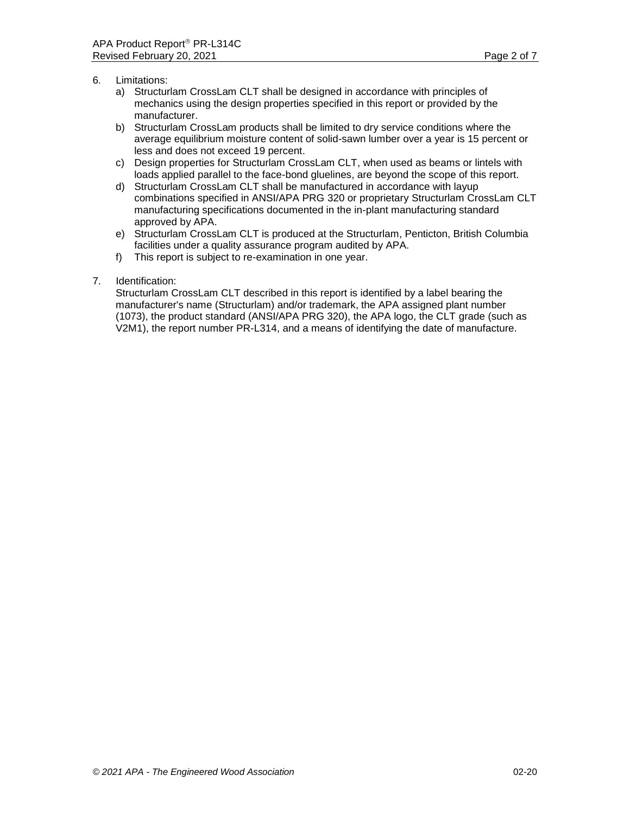- 6. Limitations:
	- a) Structurlam CrossLam CLT shall be designed in accordance with principles of mechanics using the design properties specified in this report or provided by the manufacturer.
	- b) Structurlam CrossLam products shall be limited to dry service conditions where the average equilibrium moisture content of solid-sawn lumber over a year is 15 percent or less and does not exceed 19 percent.
	- c) Design properties for Structurlam CrossLam CLT, when used as beams or lintels with loads applied parallel to the face-bond gluelines, are beyond the scope of this report.
	- d) Structurlam CrossLam CLT shall be manufactured in accordance with layup combinations specified in ANSI/APA PRG 320 or proprietary Structurlam CrossLam CLT manufacturing specifications documented in the in-plant manufacturing standard approved by APA.
	- e) Structurlam CrossLam CLT is produced at the Structurlam, Penticton, British Columbia facilities under a quality assurance program audited by APA.
	- f) This report is subject to re-examination in one year.
- 7. Identification:

Structurlam CrossLam CLT described in this report is identified by a label bearing the manufacturer's name (Structurlam) and/or trademark, the APA assigned plant number (1073), the product standard (ANSI/APA PRG 320), the APA logo, the CLT grade (such as V2M1), the report number PR-L314, and a means of identifying the date of manufacture.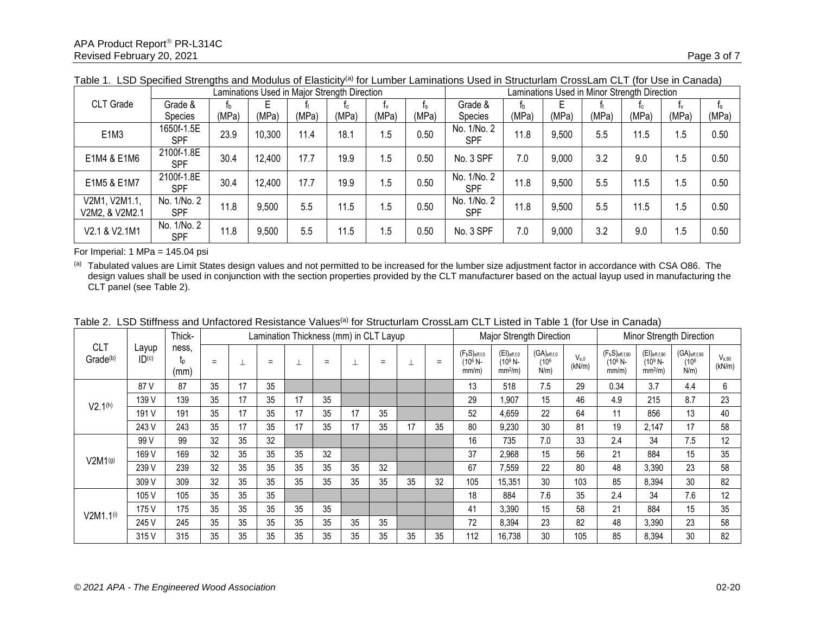|                                 |                           |       | Laminations Used in Major Strength Direction |       |       |       |       |                           |       |       |       | Laminations Used in Minor Strength Direction |       |       |
|---------------------------------|---------------------------|-------|----------------------------------------------|-------|-------|-------|-------|---------------------------|-------|-------|-------|----------------------------------------------|-------|-------|
| CLT Grade                       | Grade &                   | Ťb.   | Е                                            |       | 1c    |       | Ιs.   | Grade &                   | Ťb.   |       |       |                                              | I۷    |       |
|                                 | Species                   | (MPa) | (MPa)                                        | (MPa) | (MPa) | (MPa) | (MPa) | Species                   | (MPa) | (MPa) | (MPa) | (MPa)                                        | (MPa) | (MPa) |
| E <sub>1</sub> M <sub>3</sub>   | 1650f-1.5E<br><b>SPF</b>  | 23.9  | 10,300                                       | 11.4  | 18.1  | 1.5   | 0.50  | No. 1/No. 2<br><b>SPF</b> | 11.8  | 9,500 | 5.5   | 11.5                                         | 1.5   | 0.50  |
| E1M4 & E1M6                     | 2100f-1.8E<br><b>SPF</b>  | 30.4  | 12,400                                       | 17.7  | 19.9  | 1.5   | 0.50  | No. 3 SPF                 | 7.0   | 9,000 | 3.2   | 9.0                                          | 1.5   | 0.50  |
| E1M5 & E1M7                     | 2100f-1.8E<br><b>SPF</b>  | 30.4  | 12,400                                       | 17.7  | 19.9  | 1.5   | 0.50  | No. 1/No. 2<br><b>SPF</b> | 11.8  | 9,500 | 5.5   | 11.5                                         | 1.5   | 0.50  |
| V2M1, V2M1.1,<br>V2M2, & V2M2.1 | No. 1/No. 2<br><b>SPF</b> | 11.8  | 9,500                                        | 5.5   | 11.5  | 1.5   | 0.50  | No. 1/No. 2<br><b>SPF</b> | 11.8  | 9,500 | 5.5   | 11.5                                         | 1.5   | 0.50  |
| V2.1 & V2.1M1                   | No. 1/No. 2<br><b>SPF</b> | 11.8  | 9,500                                        | 5.5   | 11.5  | 1.5   | 0.50  | No. 3 SPF                 | 7.0   | 9,000 | 3.2   | 9.0                                          | 1.5   | 0.50  |

Table 1. LSD Specified Strengths and Modulus of Elasticity<sup>(a)</sup> for Lumber Laminations Used in Structurlam CrossLam CLT (for Use in Canada)

For Imperial: 1 MPa = 145.04 psi

(a) Tabulated values are Limit States design values and not permitted to be increased for the lumber size adjustment factor in accordance with CSA O86. The design values shall be used in conjunction with the section properties provided by the CLT manufacturer based on the actual layup used in manufacturing the CLT panel (see Table 2).

|                                    |                | Thick-              |     | Lamination Thickness (mm) in CLT Layup |     |    |     |    |     |    |     |                                                    | Major Strength Direction                     |                                                   |                     |                                             | Minor Strength Direction                             |                                                  |                      |  |
|------------------------------------|----------------|---------------------|-----|----------------------------------------|-----|----|-----|----|-----|----|-----|----------------------------------------------------|----------------------------------------------|---------------------------------------------------|---------------------|---------------------------------------------|------------------------------------------------------|--------------------------------------------------|----------------------|--|
| <b>CLT</b><br>Grade <sup>(b)</sup> | Layup<br>ID(c) | ness.<br>Įр<br>(mm) | $=$ |                                        | $=$ |    | $=$ |    | $=$ |    | $=$ | $(F_bS)_{eff,f,0}$<br>(10 <sup>6</sup> N-<br>mm/m) | $(EI)_{eff,f,0}$<br>$(10^9 N -$<br>$mm2/m$ ) | $(GA)_{eff,f,0}$<br>(10 <sup>6</sup> )<br>$N/m$ ) | $V_{s.0}$<br>(kN/m) | $(F_bS)_{eff,f,90}$<br>$(10^6 N -$<br>mm/m) | $(EI)_{\text{eff},f,90}$<br>$(10^9 N -$<br>$mm2/m$ ) | $(GA)$ eff,f,90<br>(10 <sup>6</sup> )<br>$N/m$ ) | $V_{s.90}$<br>(kN/m) |  |
|                                    | 87 V           | 87                  | 35  | 17                                     | 35  |    |     |    |     |    |     | 13                                                 | 518                                          | 7.5                                               | 29                  | 0.34                                        | 3.7                                                  | 4.4                                              | 6                    |  |
| V2.1 <sup>(h)</sup>                | 139 V          | 139                 | 35  | 17                                     | 35  | 17 | 35  |    |     |    |     | 29                                                 | 1,907                                        | 15                                                | 46                  | 4.9                                         | 215                                                  | 8.7                                              | 23                   |  |
|                                    | 191 V          | 191                 | 35  | 17                                     | 35  | 17 | 35  | 17 | 35  |    |     | 52                                                 | 4,659                                        | 22                                                | 64                  | 11                                          | 856                                                  | 13                                               | 40                   |  |
|                                    | 243 V          | 243                 | 35  | 17                                     | 35  | 17 | 35  | 17 | 35  | 17 | 35  | 80                                                 | 9,230                                        | 30                                                | 81                  | 19                                          | 2,147                                                | 17                                               | 58                   |  |
|                                    | 99 V           | 99                  | 32  | 35                                     | 32  |    |     |    |     |    |     | 16                                                 | 735                                          | 7.0                                               | 33                  | 2.4                                         | 34                                                   | 7.5                                              | 12                   |  |
| V2M1 <sup>(g)</sup>                | 169 V          | 169                 | 32  | 35                                     | 35  | 35 | 32  |    |     |    |     | 37                                                 | 2,968                                        | 15                                                | 56                  | 21                                          | 884                                                  | 15                                               | 35                   |  |
|                                    | 239 V          | 239                 | 32  | 35                                     | 35  | 35 | 35  | 35 | 32  |    |     | 67                                                 | 7.559                                        | 22                                                | 80                  | 48                                          | 3,390                                                | 23                                               | 58                   |  |
|                                    | 309 V          | 309                 | 32  | 35                                     | 35  | 35 | 35  | 35 | 35  | 35 | 32  | 105                                                | 15,351                                       | 30                                                | 103                 | 85                                          | 8,394                                                | 30                                               | 82                   |  |
|                                    | 105 V          | 105                 | 35  | 35                                     | 35  |    |     |    |     |    |     | 18                                                 | 884                                          | 7.6                                               | 35                  | 2.4                                         | 34                                                   | 7.6                                              | 12                   |  |
| $V2M1.1^{(i)}$                     | 175 V          | 175                 | 35  | 35                                     | 35  | 35 | 35  |    |     |    |     | 41                                                 | 3.390                                        | 15                                                | 58                  | 21                                          | 884                                                  | 15                                               | 35                   |  |
|                                    | 245 V          | 245                 | 35  | 35                                     | 35  | 35 | 35  | 35 | 35  |    |     | 72                                                 | 8,394                                        | 23                                                | 82                  | 48                                          | 3,390                                                | 23                                               | 58                   |  |
|                                    | 315 V          | 315                 | 35  | 35                                     | 35  | 35 | 35  | 35 | 35  | 35 | 35  | 112                                                | 16.738                                       | 30                                                | 105                 | 85                                          | 8,394                                                | 30                                               | 82                   |  |

Table 2. LSD Stiffness and Unfactored Resistance Values<sup>(a)</sup> for Structurlam CrossLam CLT Listed in Table 1 (for Use in Canada)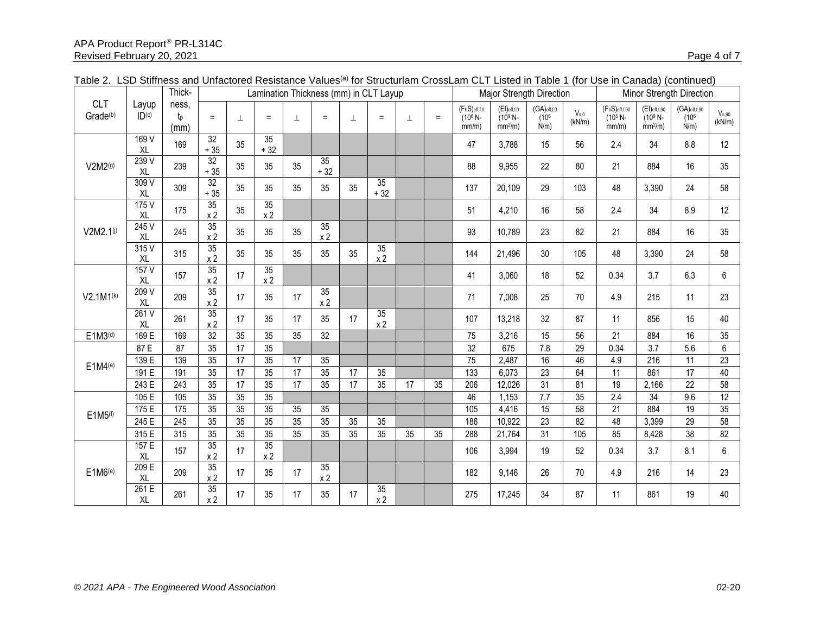|                                    |                            | Thick-                   |                          | Lamination Thickness (mm) in CLT Layup |                                   |                 |                          |    |                      |    |     |                                            | Major Strength Direction                     |                                                   |                     | Minor Strength Direction                  |                                             |                                                  |                      |
|------------------------------------|----------------------------|--------------------------|--------------------------|----------------------------------------|-----------------------------------|-----------------|--------------------------|----|----------------------|----|-----|--------------------------------------------|----------------------------------------------|---------------------------------------------------|---------------------|-------------------------------------------|---------------------------------------------|--------------------------------------------------|----------------------|
| <b>CLT</b><br>Grade <sup>(b)</sup> | Layup<br>ID <sub>(c)</sub> | ness.<br>$t_{p}$<br>(mm) | $=$                      | ⊥                                      | $=$                               | 丄               | $=$                      | 丄  | $=$                  | T  | $=$ | $(F_bS)_{eff,f,0}$<br>$(10^6 N -$<br>mm/m) | $(EI)_{eff,f,0}$<br>$(10^9 N -$<br>$mm2/m$ ) | $(GA)_{eff,f,0}$<br>(10 <sup>6</sup> )<br>$N/m$ ) | $V_{s.0}$<br>(kN/m) | $(F_bS)$ eff,f,90<br>$(10^6 N -$<br>mm/m) | $(EI)$ eff,f,90<br>$(10^9 N -$<br>$mm2/m$ ) | $(GA)$ eff,f,90<br>(10 <sup>6</sup> )<br>$N/m$ ) | $V_{s,90}$<br>(kN/m) |
|                                    | 169 V<br>XL                | 169                      | $\overline{32}$<br>$+35$ | 35                                     | $\overline{35}$<br>$+32$          |                 |                          |    |                      |    |     | 47                                         | 3.788                                        | 15                                                | 56                  | 2.4                                       | 34                                          | 8.8                                              | 12                   |
| V2M2(9)                            | 239V<br>XL                 | 239                      | 32<br>$+35$              | 35                                     | 35                                | 35              | $\overline{35}$<br>$+32$ |    |                      |    |     | 88                                         | 9,955                                        | 22                                                | 80                  | 21                                        | 884                                         | 16                                               | 35                   |
|                                    | 309V<br>XL                 | 309                      | 32<br>$+35$              | 35                                     | 35                                | 35              | 35                       | 35 | 35<br>$+32$          |    |     | 137                                        | 20,109                                       | 29                                                | 103                 | 48                                        | 3,390                                       | 24                                               | 58                   |
|                                    | 175 V<br>XL                | 175                      | 35<br>x <sub>2</sub>     | 35                                     | 35<br>x <sub>2</sub>              |                 |                          |    |                      |    |     | 51                                         | 4,210                                        | 16                                                | 58                  | 2.4                                       | 34                                          | 8.9                                              | 12                   |
| V2M2.10                            | 245V<br>XL                 | 245                      | 35<br>x <sub>2</sub>     | 35                                     | 35                                | 35              | 35<br>x <sub>2</sub>     |    |                      |    |     | 93                                         | 10,789                                       | 23                                                | 82                  | 21                                        | 884                                         | 16                                               | 35                   |
|                                    | 315V<br><b>XL</b>          | 315                      | 35<br>x <sub>2</sub>     | 35                                     | 35                                | 35              | 35                       | 35 | 35<br>x <sub>2</sub> |    |     | 144                                        | 21,496                                       | 30                                                | 105                 | 48                                        | 3,390                                       | 24                                               | 58                   |
|                                    | 157V<br>XL                 | 157                      | 35<br>x <sub>2</sub>     | 17                                     | $\overline{35}$<br>x <sub>2</sub> |                 |                          |    |                      |    |     | 41                                         | 3,060                                        | 18                                                | 52                  | 0.34                                      | 3.7                                         | 6.3                                              | 6                    |
| $V2.1M1^{(k)}$                     | 209 V<br>XL                | 209                      | 35<br>x <sub>2</sub>     | 17                                     | 35                                | 17              | 35<br>x <sub>2</sub>     |    |                      |    |     | 71                                         | 7,008                                        | 25                                                | 70                  | 4.9                                       | 215                                         | 11                                               | 23                   |
|                                    | 261V<br>XL                 | 261                      | 35<br>x <sub>2</sub>     | 17                                     | 35                                | 17              | 35                       | 17 | 35<br>$\times$ 2     |    |     | 107                                        | 13,218                                       | 32                                                | 87                  | 11                                        | 856                                         | 15                                               | 40                   |
| E1M3 <sup>(d)</sup>                | 169 E                      | 169                      | $\overline{32}$          | 35                                     | 35                                | 35              | 32                       |    |                      |    |     | 75                                         | 3,216                                        | 15                                                | 56                  | 21                                        | 884                                         | 16                                               | 35                   |
|                                    | 87 E                       | $\overline{87}$          | 35                       | $\overline{17}$                        | $\overline{35}$                   |                 |                          |    |                      |    |     | $\overline{32}$                            | 675                                          | 7.8                                               | $\overline{29}$     | 0.34                                      | $\overline{3.7}$                            | 5.6                                              | $\overline{6}$       |
| E1M4(e)                            | 139E                       | 139                      | 35                       | $\overline{17}$                        | 35                                | 17              | 35                       |    |                      |    |     | $\overline{75}$                            | 2,487                                        | 16                                                | 46                  | 4.9                                       | 216                                         | 11                                               | $\overline{23}$      |
|                                    | 191 $E$                    | 191                      | 35                       | 17                                     | 35                                | 17              | 35                       | 17 | 35                   |    |     | 133                                        | 6,073                                        | 23                                                | 64                  | 11                                        | 861                                         | 17                                               | 40                   |
|                                    | 243 E                      | 243                      | 35                       | 17                                     | 35                                | 17              | 35                       | 17 | 35                   | 17 | 35  | 206                                        | 12,026                                       | 31                                                | 81                  | 19                                        | 2,166                                       | 22                                               | 58                   |
|                                    | 105E                       | 105                      | 35                       | 35                                     | 35                                |                 |                          |    |                      |    |     | 46                                         | 1,153                                        | $\overline{7.7}$                                  | 35                  | 2.4                                       | $\overline{34}$                             | 9.6                                              | 12                   |
| E1M5 <sup>(f)</sup>                | 175 E                      | 175                      | 35                       | 35                                     | $\overline{35}$                   | $\overline{35}$ | 35                       |    |                      |    |     | 105                                        | 4,416                                        | 15                                                | $\overline{58}$     | 21                                        | 884                                         | $\overline{19}$                                  | $\overline{35}$      |
|                                    | 245 E                      | 245                      | 35                       | 35                                     | 35                                | 35              | 35                       | 35 | 35                   |    |     | 186                                        | 10,922                                       | 23                                                | 82                  | 48                                        | 3,399                                       | 29                                               | 58                   |
|                                    | 315 E                      | 315                      | 35                       | 35                                     | 35                                | 35              | 35                       | 35 | 35                   | 35 | 35  | 288                                        | 21,764                                       | 31                                                | 105                 | 85                                        | 8,428                                       | 38                                               | 82                   |
|                                    | 157 E<br>XL                | 157                      | 35<br>x <sub>2</sub>     | 17                                     | 35<br>x <sub>2</sub>              |                 |                          |    |                      |    |     | 106                                        | 3,994                                        | 19                                                | 52                  | 0.34                                      | 3.7                                         | 8.1                                              | $6\phantom{.0}$      |
| E1M6(e)                            | 209 E<br>XL                | 209                      | 35<br>x <sub>2</sub>     | 17                                     | 35                                | 17              | 35<br>x <sub>2</sub>     |    |                      |    |     | 182                                        | 9,146                                        | 26                                                | 70                  | 4.9                                       | 216                                         | 14                                               | 23                   |
|                                    | 261E<br>XL                 | 261                      | 35<br>x <sub>2</sub>     | 17                                     | 35                                | 17              | 35                       | 17 | 35<br>x <sub>2</sub> |    |     | 275                                        | 17,245                                       | 34                                                | 87                  | 11                                        | 861                                         | 19                                               | 40                   |

| Table 2. LSD Stiffness and Unfactored Resistance Values <sup>(a)</sup> for Structurlam CrossLam CLT Listed in Table 1 (for Use in Canada) (continued) |  |
|-------------------------------------------------------------------------------------------------------------------------------------------------------|--|
|-------------------------------------------------------------------------------------------------------------------------------------------------------|--|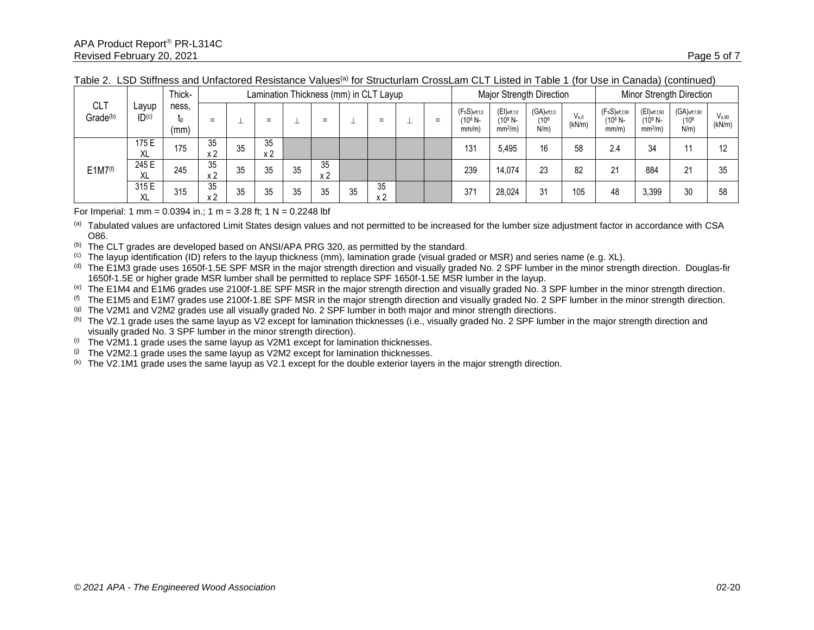|                                                                    |                    | Thick- |           | Lamination Thickness (mm) in CLT Layup |           |     |                      |     |           |     |                                                    |                                            | Major Strength Direction                          |                     |                                             |                                             | Minor Strength Direction                         |                      |    |  |
|--------------------------------------------------------------------|--------------------|--------|-----------|----------------------------------------|-----------|-----|----------------------|-----|-----------|-----|----------------------------------------------------|--------------------------------------------|---------------------------------------------------|---------------------|---------------------------------------------|---------------------------------------------|--------------------------------------------------|----------------------|----|--|
| <b>CLT</b><br>∟ayup<br>Grade <sup>(b)</sup><br>$\mathsf{ID}^{(c)}$ | ness,<br>(mm)      | $=$    |           | $=$                                    |           | $=$ |                      | $=$ |           | $=$ | $(F_bS)_{eff,f,0}$<br>(10 <sup>6</sup> N-<br>mm/m) | $(EI)$ eff,f,0<br>$(10^9 N -$<br>$mm2/m$ ) | $(GA)_{eff,f,0}$<br>(10 <sup>6</sup> )<br>$N/m$ ) | $V_{s.0}$<br>(kN/m) | $(F_bS)_{eff,f,90}$<br>$(10^6 N -$<br>mm/m) | $(EI)$ eff,f,90<br>$(10^9 N -$<br>$mm2/m$ ) | $(GA)$ eff,f,90<br>(10 <sup>6</sup> )<br>$N/m$ ) | $V_{s,90}$<br>(kN/m) |    |  |
|                                                                    | 175 E<br><b>XL</b> | 175    | 35<br>x 2 | 35                                     | 35<br>x 2 |     |                      |     |           |     |                                                    | 131                                        | 5.495                                             | 16                  | 58                                          | 2.4                                         | 34                                               |                      | 10 |  |
| E1M7 <sup>(f)</sup>                                                | 245 E<br>XL        | 245    | 35<br>x 2 | 35                                     | 35        | 35  | 35<br>x <sub>2</sub> |     |           |     |                                                    | 239                                        | 14.074                                            | 23                  | 82                                          | 21                                          | 884                                              | 21                   | 35 |  |
|                                                                    | 315 E<br>XL        | 315    | 35<br>x 2 | 35                                     | 35        | 35  | 35                   | 35  | 35<br>x 2 |     |                                                    | 37 <sup>′</sup>                            | 28.024                                            | 31                  | 105                                         | 48                                          | 3,399                                            | 30                   | 58 |  |

Table 2. LSD Stiffness and Unfactored Resistance Values<sup>(a)</sup> for Structurlam CrossLam CLT Listed in Table 1 (for Use in Canada) (continued)

For Imperial: 1 mm = 0.0394 in.; 1 m = 3.28 ft; 1 N = 0.2248 lbf

(a) Tabulated values are unfactored Limit States design values and not permitted to be increased for the lumber size adjustment factor in accordance with CSA O86.

(b) The CLT grades are developed based on ANSI/APA PRG 320, as permitted by the standard.

(c) The layup identification (ID) refers to the layup thickness (mm), lamination grade (visual graded or MSR) and series name (e.g. XL).

(d) The E1M3 grade uses 1650f-1.5E SPF MSR in the major strength direction and visually graded No. 2 SPF lumber in the minor strength direction. Douglas-fir 1650f-1.5E or higher grade MSR lumber shall be permitted to replace SPF 1650f-1.5E MSR lumber in the layup.

(e) The E1M4 and E1M6 grades use 2100f-1.8E SPF MSR in the major strength direction and visually graded No. 3 SPF lumber in the minor strength direction.

 $<sup>(f)</sup>$  The E1M5 and E1M7 grades use 2100f-1.8E SPF MSR in the major strength direction and visually graded No. 2 SPF lumber in the minor strength direction.</sup>

 $(9)$  The V2M1 and V2M2 grades use all visually graded No. 2 SPF lumber in both major and minor strength directions.

(h) The V2.1 grade uses the same layup as V2 except for lamination thicknesses (i.e., visually graded No. 2 SPF lumber in the major strength direction and visually graded No. 3 SPF lumber in the minor strength direction).

 $(i)$  The V2M1.1 grade uses the same layup as V2M1 except for lamination thicknesses.

 $(i)$  The V2M2.1 grade uses the same layup as V2M2 except for lamination thicknesses.

 $(k)$  The V2.1M1 grade uses the same layup as V2.1 except for the double exterior layers in the major strength direction.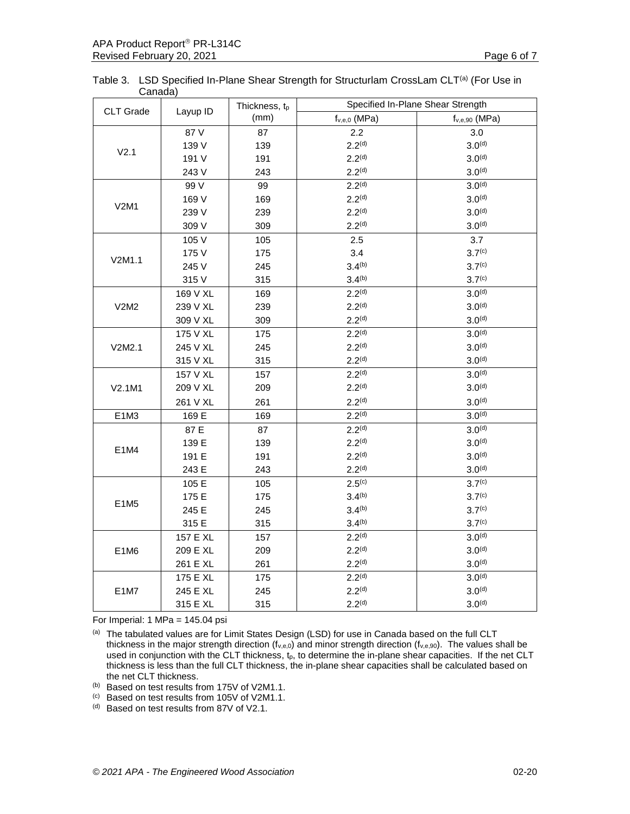|         | Table 3. LSD Specified In-Plane Shear Strength for Structurlam CrossLam CLT <sup>(a)</sup> (For Use in |  |
|---------|--------------------------------------------------------------------------------------------------------|--|
| Canada) |                                                                                                        |  |

| (mm)<br>$f_{v,e,0}$ (MPa)<br>$f_{v,e,90}$ (MPa)<br>87 V<br>87<br>2.2<br>3.0<br>2.2 <sup>(d)</sup><br>3.0 <sup>(d)</sup><br>139 V<br>139<br>V <sub>2.1</sub><br>2.2 <sup>(d)</sup><br>3.0 <sup>(d)</sup><br>191 V<br>191<br>2.2 <sup>(d)</sup><br>3.0 <sup>(d)</sup><br>243 V<br>243<br>2.2 <sup>(d)</sup><br>99 V<br>3.0 <sup>(d)</sup><br>99<br>2.2 <sup>(d)</sup><br>3.0 <sup>(d)</sup><br>169 V<br>169<br>V2M1<br>2.2 <sup>(d)</sup><br>239 V<br>3.0 <sup>(d)</sup><br>239<br>2.2 <sup>(d)</sup><br>309 V<br>309<br>3.0 <sup>(d)</sup><br>105 V<br>105<br>2.5<br>3.7<br>3.7 <sup>(c)</sup><br>175 V<br>175<br>3.4<br>V2M1.1<br>$3.4^{(b)}$<br>3.7 <sup>(c)</sup><br>245 V<br>245<br>$3.4^{(b)}$<br>3.7 <sup>(c)</sup><br>315 V<br>315<br>2.2 <sup>(d)</sup><br>3.0 <sup>(d)</sup><br>169 V XL<br>169<br>2.2 <sup>(d)</sup><br>3.0 <sup>(d)</sup><br>239 V XL<br>239<br>V2M2<br>2.2 <sup>(d)</sup><br>3.0 <sup>(d)</sup><br>309 V XL<br>309<br>2.2 <sup>(d)</sup><br>3.0 <sup>(d)</sup><br>175 V XL<br>175<br>2.2 <sup>(d)</sup><br>3.0 <sup>(d)</sup><br>245 V XL<br>245<br>V2M2.1<br>2.2 <sup>(d)</sup><br>3.0 <sup>(d)</sup><br>315 V XL<br>315<br>2.2 <sup>(d)</sup><br>$3.0^{(d)}$<br>157 V XL<br>157<br>2.2 <sup>(d)</sup><br>209 V XL<br>209<br>3.0 <sup>(d)</sup><br>V2.1M1<br>2.2 <sup>(d)</sup><br>261 V XL<br>3.0 <sup>(d)</sup><br>261<br>2.2 <sup>(d)</sup><br>$3.0^{(d)}$<br>E1M3<br>169 E<br>169<br>2.2 <sup>(d)</sup><br>3.0 <sup>(d)</sup><br>87 E<br>87<br>2.2 <sup>(d)</sup><br>139 E<br>3.0 <sup>(d)</sup><br>139<br>E1M4<br>2.2 <sup>(d)</sup><br>3.0 <sup>(d)</sup><br>191 E<br>191<br>2.2 <sup>(d)</sup><br>3.0 <sup>(d)</sup><br>243 E<br>243<br>$2.5^{(c)}$<br>3.7 <sup>(c)</sup><br>105 E<br>105<br>$3.4^{(b)}$<br>3.7 <sup>(c)</sup><br>175 E<br>175<br>E1M5<br>$3.4^{(b)}$<br>245 E<br>245<br>3.7 <sup>(c)</sup><br>$3.4^{(b)}$<br>3.7 <sup>(c)</sup><br>315 E<br>315<br>2.2 <sup>(d)</sup><br>3.0 <sup>(d)</sup><br>157 E XL<br>157<br>2.2 <sup>(d)</sup><br>3.0 <sup>(d)</sup><br>209 E XL<br>209<br>E1M6<br>2.2 <sup>(d)</sup><br>261 E XL<br>261<br>3.0 <sup>(d)</sup><br>2.2 <sup>(d)</sup><br>3.0 <sup>(d)</sup><br>175 E XL<br>175<br>245 E XL<br>2.2 <sup>(d)</sup><br>3.0 <sup>(d)</sup><br>245<br>E1M7<br>315 E XL<br>315<br>2.2 <sup>(d)</sup><br>$3.0^{(d)}$ | CLT Grade | Layup ID | Thickness, tp | Specified In-Plane Shear Strength |  |  |  |  |  |  |
|--------------------------------------------------------------------------------------------------------------------------------------------------------------------------------------------------------------------------------------------------------------------------------------------------------------------------------------------------------------------------------------------------------------------------------------------------------------------------------------------------------------------------------------------------------------------------------------------------------------------------------------------------------------------------------------------------------------------------------------------------------------------------------------------------------------------------------------------------------------------------------------------------------------------------------------------------------------------------------------------------------------------------------------------------------------------------------------------------------------------------------------------------------------------------------------------------------------------------------------------------------------------------------------------------------------------------------------------------------------------------------------------------------------------------------------------------------------------------------------------------------------------------------------------------------------------------------------------------------------------------------------------------------------------------------------------------------------------------------------------------------------------------------------------------------------------------------------------------------------------------------------------------------------------------------------------------------------------------------------------------------------------------------------------------------------------------------------------------------------------------------------------------------------------------------------------------------------------------------------------------------------------------------------------------------|-----------|----------|---------------|-----------------------------------|--|--|--|--|--|--|
|                                                                                                                                                                                                                                                                                                                                                                                                                                                                                                                                                                                                                                                                                                                                                                                                                                                                                                                                                                                                                                                                                                                                                                                                                                                                                                                                                                                                                                                                                                                                                                                                                                                                                                                                                                                                                                                                                                                                                                                                                                                                                                                                                                                                                                                                                                        |           |          |               |                                   |  |  |  |  |  |  |
|                                                                                                                                                                                                                                                                                                                                                                                                                                                                                                                                                                                                                                                                                                                                                                                                                                                                                                                                                                                                                                                                                                                                                                                                                                                                                                                                                                                                                                                                                                                                                                                                                                                                                                                                                                                                                                                                                                                                                                                                                                                                                                                                                                                                                                                                                                        |           |          |               |                                   |  |  |  |  |  |  |
|                                                                                                                                                                                                                                                                                                                                                                                                                                                                                                                                                                                                                                                                                                                                                                                                                                                                                                                                                                                                                                                                                                                                                                                                                                                                                                                                                                                                                                                                                                                                                                                                                                                                                                                                                                                                                                                                                                                                                                                                                                                                                                                                                                                                                                                                                                        |           |          |               |                                   |  |  |  |  |  |  |
|                                                                                                                                                                                                                                                                                                                                                                                                                                                                                                                                                                                                                                                                                                                                                                                                                                                                                                                                                                                                                                                                                                                                                                                                                                                                                                                                                                                                                                                                                                                                                                                                                                                                                                                                                                                                                                                                                                                                                                                                                                                                                                                                                                                                                                                                                                        |           |          |               |                                   |  |  |  |  |  |  |
|                                                                                                                                                                                                                                                                                                                                                                                                                                                                                                                                                                                                                                                                                                                                                                                                                                                                                                                                                                                                                                                                                                                                                                                                                                                                                                                                                                                                                                                                                                                                                                                                                                                                                                                                                                                                                                                                                                                                                                                                                                                                                                                                                                                                                                                                                                        |           |          |               |                                   |  |  |  |  |  |  |
|                                                                                                                                                                                                                                                                                                                                                                                                                                                                                                                                                                                                                                                                                                                                                                                                                                                                                                                                                                                                                                                                                                                                                                                                                                                                                                                                                                                                                                                                                                                                                                                                                                                                                                                                                                                                                                                                                                                                                                                                                                                                                                                                                                                                                                                                                                        |           |          |               |                                   |  |  |  |  |  |  |
|                                                                                                                                                                                                                                                                                                                                                                                                                                                                                                                                                                                                                                                                                                                                                                                                                                                                                                                                                                                                                                                                                                                                                                                                                                                                                                                                                                                                                                                                                                                                                                                                                                                                                                                                                                                                                                                                                                                                                                                                                                                                                                                                                                                                                                                                                                        |           |          |               |                                   |  |  |  |  |  |  |
|                                                                                                                                                                                                                                                                                                                                                                                                                                                                                                                                                                                                                                                                                                                                                                                                                                                                                                                                                                                                                                                                                                                                                                                                                                                                                                                                                                                                                                                                                                                                                                                                                                                                                                                                                                                                                                                                                                                                                                                                                                                                                                                                                                                                                                                                                                        |           |          |               |                                   |  |  |  |  |  |  |
|                                                                                                                                                                                                                                                                                                                                                                                                                                                                                                                                                                                                                                                                                                                                                                                                                                                                                                                                                                                                                                                                                                                                                                                                                                                                                                                                                                                                                                                                                                                                                                                                                                                                                                                                                                                                                                                                                                                                                                                                                                                                                                                                                                                                                                                                                                        |           |          |               |                                   |  |  |  |  |  |  |
|                                                                                                                                                                                                                                                                                                                                                                                                                                                                                                                                                                                                                                                                                                                                                                                                                                                                                                                                                                                                                                                                                                                                                                                                                                                                                                                                                                                                                                                                                                                                                                                                                                                                                                                                                                                                                                                                                                                                                                                                                                                                                                                                                                                                                                                                                                        |           |          |               |                                   |  |  |  |  |  |  |
|                                                                                                                                                                                                                                                                                                                                                                                                                                                                                                                                                                                                                                                                                                                                                                                                                                                                                                                                                                                                                                                                                                                                                                                                                                                                                                                                                                                                                                                                                                                                                                                                                                                                                                                                                                                                                                                                                                                                                                                                                                                                                                                                                                                                                                                                                                        |           |          |               |                                   |  |  |  |  |  |  |
|                                                                                                                                                                                                                                                                                                                                                                                                                                                                                                                                                                                                                                                                                                                                                                                                                                                                                                                                                                                                                                                                                                                                                                                                                                                                                                                                                                                                                                                                                                                                                                                                                                                                                                                                                                                                                                                                                                                                                                                                                                                                                                                                                                                                                                                                                                        |           |          |               |                                   |  |  |  |  |  |  |
|                                                                                                                                                                                                                                                                                                                                                                                                                                                                                                                                                                                                                                                                                                                                                                                                                                                                                                                                                                                                                                                                                                                                                                                                                                                                                                                                                                                                                                                                                                                                                                                                                                                                                                                                                                                                                                                                                                                                                                                                                                                                                                                                                                                                                                                                                                        |           |          |               |                                   |  |  |  |  |  |  |
|                                                                                                                                                                                                                                                                                                                                                                                                                                                                                                                                                                                                                                                                                                                                                                                                                                                                                                                                                                                                                                                                                                                                                                                                                                                                                                                                                                                                                                                                                                                                                                                                                                                                                                                                                                                                                                                                                                                                                                                                                                                                                                                                                                                                                                                                                                        |           |          |               |                                   |  |  |  |  |  |  |
|                                                                                                                                                                                                                                                                                                                                                                                                                                                                                                                                                                                                                                                                                                                                                                                                                                                                                                                                                                                                                                                                                                                                                                                                                                                                                                                                                                                                                                                                                                                                                                                                                                                                                                                                                                                                                                                                                                                                                                                                                                                                                                                                                                                                                                                                                                        |           |          |               |                                   |  |  |  |  |  |  |
|                                                                                                                                                                                                                                                                                                                                                                                                                                                                                                                                                                                                                                                                                                                                                                                                                                                                                                                                                                                                                                                                                                                                                                                                                                                                                                                                                                                                                                                                                                                                                                                                                                                                                                                                                                                                                                                                                                                                                                                                                                                                                                                                                                                                                                                                                                        |           |          |               |                                   |  |  |  |  |  |  |
|                                                                                                                                                                                                                                                                                                                                                                                                                                                                                                                                                                                                                                                                                                                                                                                                                                                                                                                                                                                                                                                                                                                                                                                                                                                                                                                                                                                                                                                                                                                                                                                                                                                                                                                                                                                                                                                                                                                                                                                                                                                                                                                                                                                                                                                                                                        |           |          |               |                                   |  |  |  |  |  |  |
|                                                                                                                                                                                                                                                                                                                                                                                                                                                                                                                                                                                                                                                                                                                                                                                                                                                                                                                                                                                                                                                                                                                                                                                                                                                                                                                                                                                                                                                                                                                                                                                                                                                                                                                                                                                                                                                                                                                                                                                                                                                                                                                                                                                                                                                                                                        |           |          |               |                                   |  |  |  |  |  |  |
|                                                                                                                                                                                                                                                                                                                                                                                                                                                                                                                                                                                                                                                                                                                                                                                                                                                                                                                                                                                                                                                                                                                                                                                                                                                                                                                                                                                                                                                                                                                                                                                                                                                                                                                                                                                                                                                                                                                                                                                                                                                                                                                                                                                                                                                                                                        |           |          |               |                                   |  |  |  |  |  |  |
|                                                                                                                                                                                                                                                                                                                                                                                                                                                                                                                                                                                                                                                                                                                                                                                                                                                                                                                                                                                                                                                                                                                                                                                                                                                                                                                                                                                                                                                                                                                                                                                                                                                                                                                                                                                                                                                                                                                                                                                                                                                                                                                                                                                                                                                                                                        |           |          |               |                                   |  |  |  |  |  |  |
|                                                                                                                                                                                                                                                                                                                                                                                                                                                                                                                                                                                                                                                                                                                                                                                                                                                                                                                                                                                                                                                                                                                                                                                                                                                                                                                                                                                                                                                                                                                                                                                                                                                                                                                                                                                                                                                                                                                                                                                                                                                                                                                                                                                                                                                                                                        |           |          |               |                                   |  |  |  |  |  |  |
|                                                                                                                                                                                                                                                                                                                                                                                                                                                                                                                                                                                                                                                                                                                                                                                                                                                                                                                                                                                                                                                                                                                                                                                                                                                                                                                                                                                                                                                                                                                                                                                                                                                                                                                                                                                                                                                                                                                                                                                                                                                                                                                                                                                                                                                                                                        |           |          |               |                                   |  |  |  |  |  |  |
|                                                                                                                                                                                                                                                                                                                                                                                                                                                                                                                                                                                                                                                                                                                                                                                                                                                                                                                                                                                                                                                                                                                                                                                                                                                                                                                                                                                                                                                                                                                                                                                                                                                                                                                                                                                                                                                                                                                                                                                                                                                                                                                                                                                                                                                                                                        |           |          |               |                                   |  |  |  |  |  |  |
|                                                                                                                                                                                                                                                                                                                                                                                                                                                                                                                                                                                                                                                                                                                                                                                                                                                                                                                                                                                                                                                                                                                                                                                                                                                                                                                                                                                                                                                                                                                                                                                                                                                                                                                                                                                                                                                                                                                                                                                                                                                                                                                                                                                                                                                                                                        |           |          |               |                                   |  |  |  |  |  |  |
|                                                                                                                                                                                                                                                                                                                                                                                                                                                                                                                                                                                                                                                                                                                                                                                                                                                                                                                                                                                                                                                                                                                                                                                                                                                                                                                                                                                                                                                                                                                                                                                                                                                                                                                                                                                                                                                                                                                                                                                                                                                                                                                                                                                                                                                                                                        |           |          |               |                                   |  |  |  |  |  |  |
|                                                                                                                                                                                                                                                                                                                                                                                                                                                                                                                                                                                                                                                                                                                                                                                                                                                                                                                                                                                                                                                                                                                                                                                                                                                                                                                                                                                                                                                                                                                                                                                                                                                                                                                                                                                                                                                                                                                                                                                                                                                                                                                                                                                                                                                                                                        |           |          |               |                                   |  |  |  |  |  |  |
|                                                                                                                                                                                                                                                                                                                                                                                                                                                                                                                                                                                                                                                                                                                                                                                                                                                                                                                                                                                                                                                                                                                                                                                                                                                                                                                                                                                                                                                                                                                                                                                                                                                                                                                                                                                                                                                                                                                                                                                                                                                                                                                                                                                                                                                                                                        |           |          |               |                                   |  |  |  |  |  |  |
|                                                                                                                                                                                                                                                                                                                                                                                                                                                                                                                                                                                                                                                                                                                                                                                                                                                                                                                                                                                                                                                                                                                                                                                                                                                                                                                                                                                                                                                                                                                                                                                                                                                                                                                                                                                                                                                                                                                                                                                                                                                                                                                                                                                                                                                                                                        |           |          |               |                                   |  |  |  |  |  |  |
|                                                                                                                                                                                                                                                                                                                                                                                                                                                                                                                                                                                                                                                                                                                                                                                                                                                                                                                                                                                                                                                                                                                                                                                                                                                                                                                                                                                                                                                                                                                                                                                                                                                                                                                                                                                                                                                                                                                                                                                                                                                                                                                                                                                                                                                                                                        |           |          |               |                                   |  |  |  |  |  |  |
|                                                                                                                                                                                                                                                                                                                                                                                                                                                                                                                                                                                                                                                                                                                                                                                                                                                                                                                                                                                                                                                                                                                                                                                                                                                                                                                                                                                                                                                                                                                                                                                                                                                                                                                                                                                                                                                                                                                                                                                                                                                                                                                                                                                                                                                                                                        |           |          |               |                                   |  |  |  |  |  |  |
|                                                                                                                                                                                                                                                                                                                                                                                                                                                                                                                                                                                                                                                                                                                                                                                                                                                                                                                                                                                                                                                                                                                                                                                                                                                                                                                                                                                                                                                                                                                                                                                                                                                                                                                                                                                                                                                                                                                                                                                                                                                                                                                                                                                                                                                                                                        |           |          |               |                                   |  |  |  |  |  |  |
|                                                                                                                                                                                                                                                                                                                                                                                                                                                                                                                                                                                                                                                                                                                                                                                                                                                                                                                                                                                                                                                                                                                                                                                                                                                                                                                                                                                                                                                                                                                                                                                                                                                                                                                                                                                                                                                                                                                                                                                                                                                                                                                                                                                                                                                                                                        |           |          |               |                                   |  |  |  |  |  |  |
|                                                                                                                                                                                                                                                                                                                                                                                                                                                                                                                                                                                                                                                                                                                                                                                                                                                                                                                                                                                                                                                                                                                                                                                                                                                                                                                                                                                                                                                                                                                                                                                                                                                                                                                                                                                                                                                                                                                                                                                                                                                                                                                                                                                                                                                                                                        |           |          |               |                                   |  |  |  |  |  |  |
|                                                                                                                                                                                                                                                                                                                                                                                                                                                                                                                                                                                                                                                                                                                                                                                                                                                                                                                                                                                                                                                                                                                                                                                                                                                                                                                                                                                                                                                                                                                                                                                                                                                                                                                                                                                                                                                                                                                                                                                                                                                                                                                                                                                                                                                                                                        |           |          |               |                                   |  |  |  |  |  |  |
|                                                                                                                                                                                                                                                                                                                                                                                                                                                                                                                                                                                                                                                                                                                                                                                                                                                                                                                                                                                                                                                                                                                                                                                                                                                                                                                                                                                                                                                                                                                                                                                                                                                                                                                                                                                                                                                                                                                                                                                                                                                                                                                                                                                                                                                                                                        |           |          |               |                                   |  |  |  |  |  |  |
|                                                                                                                                                                                                                                                                                                                                                                                                                                                                                                                                                                                                                                                                                                                                                                                                                                                                                                                                                                                                                                                                                                                                                                                                                                                                                                                                                                                                                                                                                                                                                                                                                                                                                                                                                                                                                                                                                                                                                                                                                                                                                                                                                                                                                                                                                                        |           |          |               |                                   |  |  |  |  |  |  |
|                                                                                                                                                                                                                                                                                                                                                                                                                                                                                                                                                                                                                                                                                                                                                                                                                                                                                                                                                                                                                                                                                                                                                                                                                                                                                                                                                                                                                                                                                                                                                                                                                                                                                                                                                                                                                                                                                                                                                                                                                                                                                                                                                                                                                                                                                                        |           |          |               |                                   |  |  |  |  |  |  |

For Imperial: 1 MPa = 145.04 psi

(b) Based on test results from 175V of V2M1.1.

(c) Based on test results from 105V of V2M1.1.

(d) Based on test results from 87V of V2.1.

<sup>(</sup>a) The tabulated values are for Limit States Design (LSD) for use in Canada based on the full CLT thickness in the major strength direction (f<sub>v,e,0</sub>) and minor strength direction (f<sub>v,e,90</sub>). The values shall be used in conjunction with the CLT thickness,  $t_p$ , to determine the in-plane shear capacities. If the net CLT thickness is less than the full CLT thickness, the in-plane shear capacities shall be calculated based on the net CLT thickness.